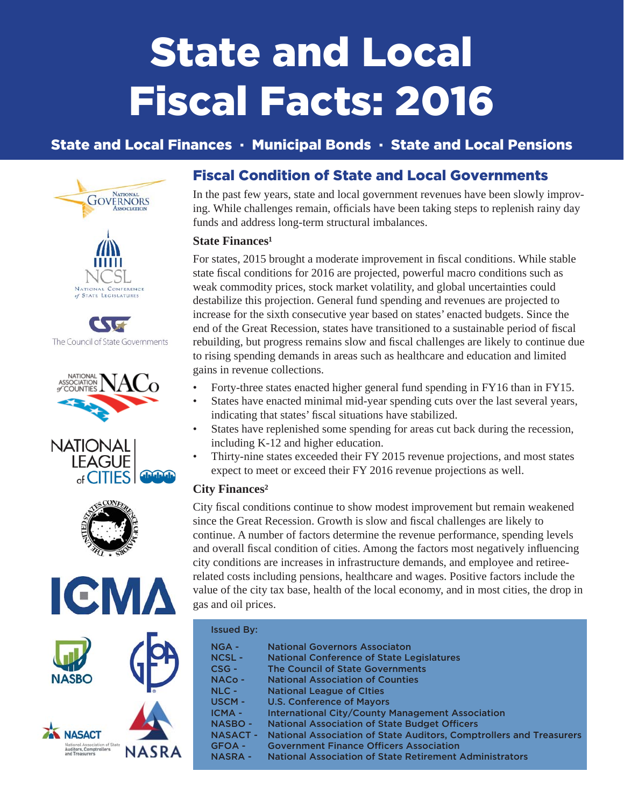# State and Local Fiscal Facts: 2016

# State and Local Finances · Municipal Bonds · State and Local Pensions













# Fiscal Condition of State and Local Governments

In the past few years, state and local government revenues have been slowly improving. While challenges remain, officials have been taking steps to replenish rainy day funds and address long-term structural imbalances.

## **State Finances<sup>1</sup>**

For states, 2015 brought a moderate improvement in fiscal conditions. While stable state fiscal conditions for 2016 are projected, powerful macro conditions such as weak commodity prices, stock market volatility, and global uncertainties could destabilize this projection. General fund spending and revenues are projected to increase for the sixth consecutive year based on states' enacted budgets. Since the end of the Great Recession, states have transitioned to a sustainable period of fiscal rebuilding, but progress remains slow and fiscal challenges are likely to continue due to rising spending demands in areas such as healthcare and education and limited gains in revenue collections.

- Forty-three states enacted higher general fund spending in FY16 than in FY15.
- States have enacted minimal mid-year spending cuts over the last several years, indicating that states' fiscal situations have stabilized.
- States have replenished some spending for areas cut back during the recession, including K-12 and higher education.
- Thirty-nine states exceeded their FY 2015 revenue projections, and most states expect to meet or exceed their FY 2016 revenue projections as well.

## **City Finances²**

City fiscal conditions continue to show modest improvement but remain weakened since the Great Recession. Growth is slow and fiscal challenges are likely to continue. A number of factors determine the revenue performance, spending levels and overall fiscal condition of cities. Among the factors most negatively influencing city conditions are increases in infrastructure demands, and employee and retireerelated costs including pensions, healthcare and wages. Positive factors include the value of the city tax base, health of the local economy, and in most cities, the drop in gas and oil prices.

| <b>Issued By:</b> |                                                                            |
|-------------------|----------------------------------------------------------------------------|
| $NGA -$           | <b>National Governors Associaton</b>                                       |
| <b>NCSL-</b>      | <b>National Conference of State Legislatures</b>                           |
| $CSG -$           | <b>The Council of State Governments</b>                                    |
| $NACO -$          | <b>National Association of Counties</b>                                    |
| $NLC -$           | <b>National League of Cities</b>                                           |
| <b>USCM-</b>      | <b>U.S. Conference of Mayors</b>                                           |
| <b>ICMA-</b>      | <b>International City/County Management Association</b>                    |
| <b>NASBO-</b>     | <b>National Association of State Budget Officers</b>                       |
| <b>NASACT-</b>    | <b>National Association of State Auditors, Comptrollers and Treasurers</b> |
| <b>GFOA -</b>     | <b>Government Finance Officers Association</b>                             |
| <b>NASRA -</b>    | National Association of State Retirement Administrators                    |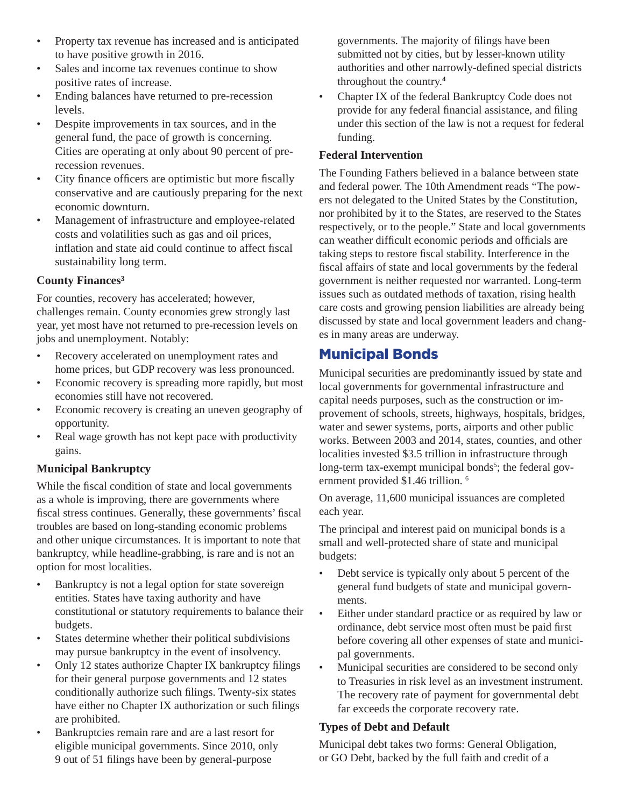- Property tax revenue has increased and is anticipated to have positive growth in 2016.
- Sales and income tax revenues continue to show positive rates of increase.
- Ending balances have returned to pre-recession levels.
- Despite improvements in tax sources, and in the general fund, the pace of growth is concerning. Cities are operating at only about 90 percent of prerecession revenues.
- City finance officers are optimistic but more fiscally conservative and are cautiously preparing for the next economic downturn.
- Management of infrastructure and employee-related costs and volatilities such as gas and oil prices, inflation and state aid could continue to affect fiscal sustainability long term.

## **County Finances³**

For counties, recovery has accelerated; however, challenges remain. County economies grew strongly last year, yet most have not returned to pre-recession levels on jobs and unemployment. Notably:

- Recovery accelerated on unemployment rates and home prices, but GDP recovery was less pronounced.
- Economic recovery is spreading more rapidly, but most economies still have not recovered.
- Economic recovery is creating an uneven geography of opportunity.
- Real wage growth has not kept pace with productivity gains.

## **Municipal Bankruptcy**

While the fiscal condition of state and local governments as a whole is improving, there are governments where fiscal stress continues. Generally, these governments' fiscal troubles are based on long-standing economic problems and other unique circumstances. It is important to note that bankruptcy, while headline-grabbing, is rare and is not an option for most localities.

- Bankruptcy is not a legal option for state sovereign entities. States have taxing authority and have constitutional or statutory requirements to balance their budgets.
- States determine whether their political subdivisions may pursue bankruptcy in the event of insolvency.
- Only 12 states authorize Chapter IX bankruptcy filings for their general purpose governments and 12 states conditionally authorize such filings. Twenty-six states have either no Chapter IX authorization or such filings are prohibited.
- Bankruptcies remain rare and are a last resort for eligible municipal governments. Since 2010, only 9 out of 51 filings have been by general-purpose

governments. The majority of filings have been submitted not by cities, but by lesser-known utility authorities and other narrowly-defined special districts throughout the country.**<sup>4</sup>**

• Chapter IX of the federal Bankruptcy Code does not provide for any federal financial assistance, and filing under this section of the law is not a request for federal funding.

## **Federal Intervention**

The Founding Fathers believed in a balance between state and federal power. The 10th Amendment reads "The powers not delegated to the United States by the Constitution, nor prohibited by it to the States, are reserved to the States respectively, or to the people." State and local governments can weather difficult economic periods and officials are taking steps to restore fiscal stability. Interference in the fiscal affairs of state and local governments by the federal government is neither requested nor warranted. Long-term issues such as outdated methods of taxation, rising health care costs and growing pension liabilities are already being discussed by state and local government leaders and changes in many areas are underway.

# Municipal Bonds

Municipal securities are predominantly issued by state and local governments for governmental infrastructure and capital needs purposes, such as the construction or improvement of schools, streets, highways, hospitals, bridges, water and sewer systems, ports, airports and other public works. Between 2003 and 2014, states, counties, and other localities invested \$3.5 trillion in infrastructure through long-term tax-exempt municipal bonds<sup>5</sup>; the federal government provided \$1.46 trillion. 6

On average, 11,600 municipal issuances are completed each year.

The principal and interest paid on municipal bonds is a small and well-protected share of state and municipal budgets:

- Debt service is typically only about 5 percent of the general fund budgets of state and municipal governments.
- Either under standard practice or as required by law or ordinance, debt service most often must be paid first before covering all other expenses of state and municipal governments.
- Municipal securities are considered to be second only to Treasuries in risk level as an investment instrument. The recovery rate of payment for governmental debt far exceeds the corporate recovery rate.

## **Types of Debt and Default**

Municipal debt takes two forms: General Obligation, or GO Debt, backed by the full faith and credit of a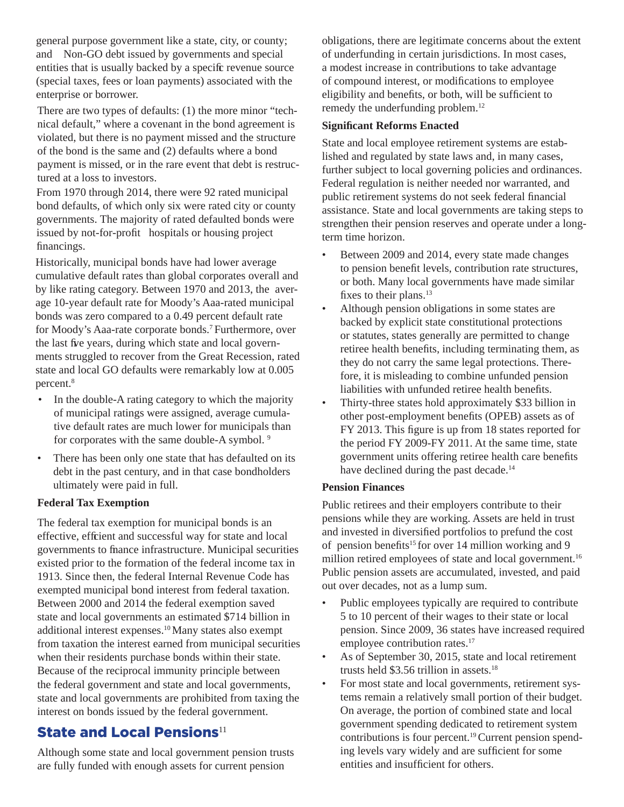general purpose government like a state, city, or county; and Non-GO debt issued by governments and special entities that is usually backed by a specific revenue source (special taxes, fees or loan payments) associated with the enterprise or borrower.

There are two types of defaults: (1) the more minor "technical default," where a covenant in the bond agreement is violated, but there is no payment missed and the structure of the bond is the same and (2) defaults where a bond payment is missed, or in the rare event that debt is restructured at a loss to investors.

From 1970 through 2014, there were 92 rated municipal bond defaults, of which only six were rated city or county governments. The majority of rated defaulted bonds were issued by not-for-profit hospitals or housing project financings.

Historically, municipal bonds have had lower average cumulative default rates than global corporates overall and by like rating category. Between 1970 and 2013, the average 10-year default rate for Moody's Aaa-rated municipal bonds was zero compared to a 0.49 percent default rate for Moody's Aaa-rate corporate bonds.7 Furthermore, over the last five years, during which state and local governments struggled to recover from the Great Recession, rated state and local GO defaults were remarkably low at 0.005 percent.<sup>8</sup>

- In the double-A rating category to which the majority of municipal ratings were assigned, average cumulative default rates are much lower for municipals than for corporates with the same double-A symbol. 9
- There has been only one state that has defaulted on its debt in the past century, and in that case bondholders ultimately were paid in full.

#### **Federal Tax Exemption**

The federal tax exemption for municipal bonds is an effective, efficient and successful way for state and local governments to finance infrastructure. Municipal securities existed prior to the formation of the federal income tax in 1913. Since then, the federal Internal Revenue Code has exempted municipal bond interest from federal taxation. Between 2000 and 2014 the federal exemption saved state and local governments an estimated \$714 billion in additional interest expenses.10 Many states also exempt from taxation the interest earned from municipal securities when their residents purchase bonds within their state. Because of the reciprocal immunity principle between the federal government and state and local governments, state and local governments are prohibited from taxing the interest on bonds issued by the federal government.

# State and Local Pensions $11$

Although some state and local government pension trusts are fully funded with enough assets for current pension

obligations, there are legitimate concerns about the extent of underfunding in certain jurisdictions. In most cases, a modest increase in contributions to take advantage of compound interest, or modifications to employee eligibility and benefits, or both, will be sufficient to remedy the underfunding problem.12

#### **Signifi cant Reforms Enacted**

State and local employee retirement systems are established and regulated by state laws and, in many cases, further subject to local governing policies and ordinances. Federal regulation is neither needed nor warranted, and public retirement systems do not seek federal financial assistance. State and local governments are taking steps to strengthen their pension reserves and operate under a longterm time horizon.

- Between 2009 and 2014, every state made changes to pension benefit levels, contribution rate structures, or both. Many local governments have made similar fixes to their plans.<sup>13</sup>
- Although pension obligations in some states are backed by explicit state constitutional protections or statutes, states generally are permitted to change retiree health benefits, including terminating them, as they do not carry the same legal protections. Therefore, it is misleading to combine unfunded pension liabilities with unfunded retiree health benefits.
- Thirty-three states hold approximately \$33 billion in other post-employment benefits (OPEB) assets as of FY 2013. This figure is up from 18 states reported for the period FY 2009-FY 2011. At the same time, state government units offering retiree health care benefits have declined during the past decade.<sup>14</sup>

#### **Pension Finances**

Public retirees and their employers contribute to their pensions while they are working. Assets are held in trust and invested in diversified portfolios to prefund the cost of pension benefits<sup>15</sup> for over 14 million working and 9 million retired employees of state and local government.<sup>16</sup> Public pension assets are accumulated, invested, and paid out over decades, not as a lump sum.

- Public employees typically are required to contribute 5 to 10 percent of their wages to their state or local pension. Since 2009, 36 states have increased required employee contribution rates.<sup>17</sup>
- As of September 30, 2015, state and local retirement trusts held \$3.56 trillion in assets.<sup>18</sup>
- For most state and local governments, retirement systems remain a relatively small portion of their budget. On average, the portion of combined state and local government spending dedicated to retirement system contributions is four percent.19 Current pension spending levels vary widely and are sufficient for some entities and insufficient for others.